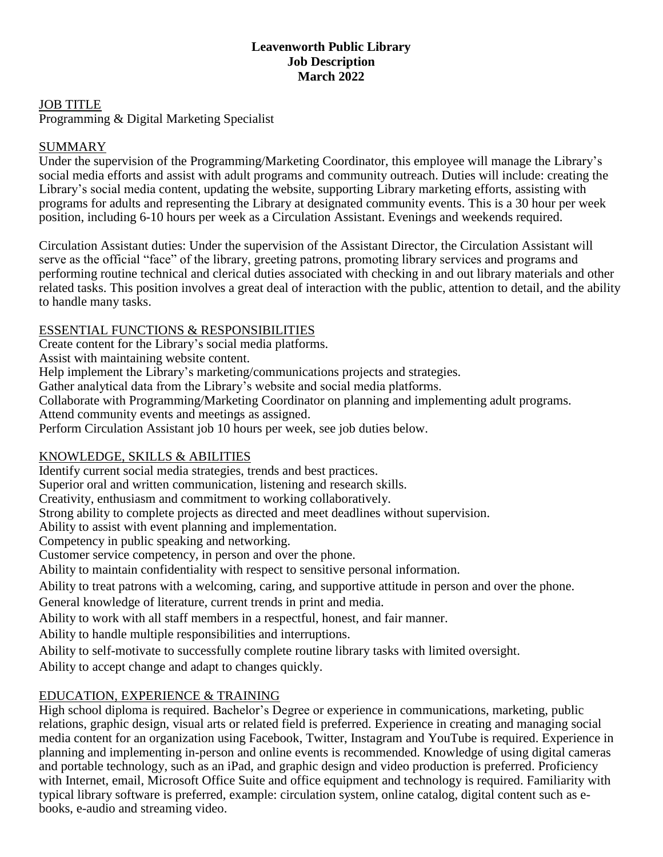# **Leavenworth Public Library Job Description March 2022**

#### JOB TITLE

Programming & Digital Marketing Specialist

# SUMMARY

Under the supervision of the Programming/Marketing Coordinator, this employee will manage the Library's social media efforts and assist with adult programs and community outreach. Duties will include: creating the Library's social media content, updating the website, supporting Library marketing efforts, assisting with programs for adults and representing the Library at designated community events. This is a 30 hour per week position, including 6-10 hours per week as a Circulation Assistant. Evenings and weekends required.

Circulation Assistant duties: Under the supervision of the Assistant Director, the Circulation Assistant will serve as the official "face" of the library, greeting patrons, promoting library services and programs and performing routine technical and clerical duties associated with checking in and out library materials and other related tasks. This position involves a great deal of interaction with the public, attention to detail, and the ability to handle many tasks.

## ESSENTIAL FUNCTIONS & RESPONSIBILITIES

Create content for the Library's social media platforms.

Assist with maintaining website content.

Help implement the Library's marketing/communications projects and strategies.

Gather analytical data from the Library's website and social media platforms.

Collaborate with Programming/Marketing Coordinator on planning and implementing adult programs.

Attend community events and meetings as assigned.

Perform Circulation Assistant job 10 hours per week, see job duties below.

# KNOWLEDGE, SKILLS & ABILITIES

Identify current social media strategies, trends and best practices.

Superior oral and written communication, listening and research skills.

Creativity, enthusiasm and commitment to working collaboratively.

Strong ability to complete projects as directed and meet deadlines without supervision.

Ability to assist with event planning and implementation.

Competency in public speaking and networking.

Customer service competency, in person and over the phone.

Ability to maintain confidentiality with respect to sensitive personal information.

Ability to treat patrons with a welcoming, caring, and supportive attitude in person and over the phone.

General knowledge of literature, current trends in print and media.

Ability to work with all staff members in a respectful, honest, and fair manner.

Ability to handle multiple responsibilities and interruptions.

Ability to self-motivate to successfully complete routine library tasks with limited oversight.

Ability to accept change and adapt to changes quickly.

# EDUCATION, EXPERIENCE & TRAINING

High school diploma is required. Bachelor's Degree or experience in communications, marketing, public relations, graphic design, visual arts or related field is preferred. Experience in creating and managing social media content for an organization using Facebook, Twitter, Instagram and YouTube is required. Experience in planning and implementing in-person and online events is recommended. Knowledge of using digital cameras and portable technology, such as an iPad, and graphic design and video production is preferred. Proficiency with Internet, email, Microsoft Office Suite and office equipment and technology is required. Familiarity with typical library software is preferred, example: circulation system, online catalog, digital content such as ebooks, e-audio and streaming video.